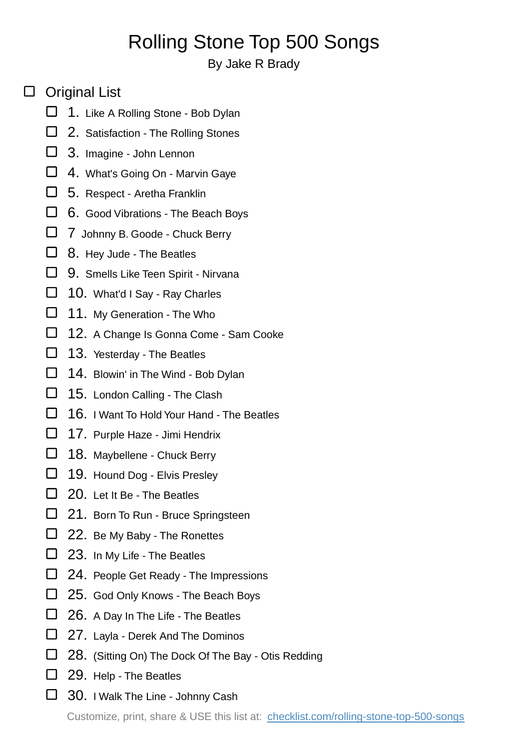## Rolling Stone Top 500 Songs

## By Jake R Brady

## □ Original List

- $\Box$  1. Like A Rolling Stone Bob Dylan
- □ 2. Satisfaction The Rolling Stones
- □ 3. Imagine John Lennon
- $\Box$  4. What's Going On Marvin Gaye
- $\Box$  5. Respect Aretha Franklin
- $\Box$  6. Good Vibrations The Beach Boys
- □ 7 Johnny B. Goode Chuck Berry
- $\Box$  8. Hey Jude The Beatles
- $\Box$  9. Smells Like Teen Spirit Nirvana
- □ 10. What'd I Say Ray Charles
- □ 11. My Generation The Who
- □ 12. A Change Is Gonna Come Sam Cooke
- $\Box$  13. Yesterday The Beatles
- 14. Blowin' in The Wind Bob Dylan
- □ 15. London Calling The Clash
- $\Box$  16. I Want To Hold Your Hand The Beatles
- 17. Purple Haze Jimi Hendrix
- □ 18. Maybellene Chuck Berry
- □ 19. Hound Dog Elvis Presley
- □ 20. Let It Be The Beatles
- □ 21. Born To Run Bruce Springsteen
- □ 22. Be My Baby The Ronettes
- $\Box$  23. In My Life The Beatles
- □ 24. People Get Ready The Impressions
- $\Box$  25. God Only Knows The Beach Boys
- $\Box$  26. A Day In The Life The Beatles
- $\Box$  27. Layla Derek And The Dominos
- □ 28. (Sitting On) The Dock Of The Bay Otis Redding
- □ 29. Help The Beatles
- □ 30. I Walk The Line Johnny Cash

Customize, print, share & USE this list at: [checklist.com/rolling-stone-top-500-songs](https://checklist.com/rolling-stone-top-500-songs)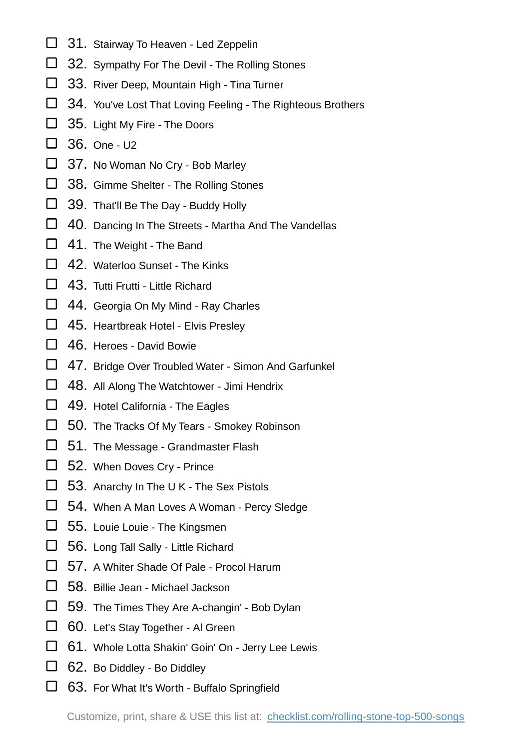- □ 31. Stairway To Heaven Led Zeppelin
- □ 32. Sympathy For The Devil The Rolling Stones
- 33. River Deep, Mountain High Tina Turner
- 34. You've Lost That Loving Feeling The Righteous Brothers
- □ 35. Light My Fire The Doors
- $\Box$  36. One U2
- □ 37. No Woman No Cry Bob Marley
- 38. Gimme Shelter The Rolling Stones
- 39. That'll Be The Day Buddy Holly
- □ 40. Dancing In The Streets Martha And The Vandellas
- □ 41. The Weight The Band
- $\Box$  42. Waterloo Sunset The Kinks
- □ 43. Tutti Frutti Little Richard
- □ 44. Georgia On My Mind Ray Charles
- □ 45. Heartbreak Hotel Elvis Presley
- 46. Heroes David Bowie
- □ 47. Bridge Over Troubled Water Simon And Garfunkel
- □ 48. All Along The Watchtower Jimi Hendrix
- □ 49. Hotel California The Eagles
- 50. The Tracks Of My Tears Smokey Robinson
- □ 51. The Message Grandmaster Flash
- □ 52. When Doves Cry Prince
- $\Box$  53. Anarchy In The U K The Sex Pistols
- □ 54. When A Man Loves A Woman Percy Sledge
- □ 55. Louie Louie The Kingsmen
- $\Box$  56. Long Tall Sally Little Richard
- □ 57. A Whiter Shade Of Pale Procol Harum
- 58. Billie Jean Michael Jackson
- 59. The Times They Are A-changin' Bob Dylan
- 60. Let's Stay Together Al Green
- 61. Whole Lotta Shakin' Goin' On Jerry Lee Lewis
- □ 62. Bo Diddley Bo Diddley
- $\Box$  63. For What It's Worth Buffalo Springfield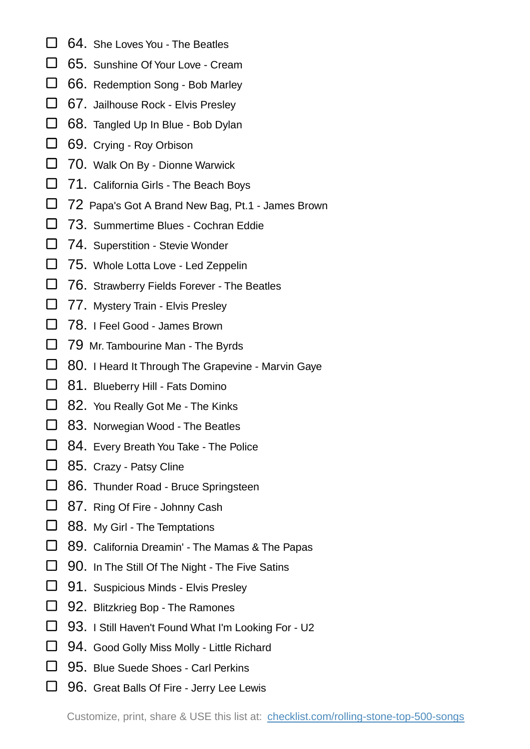- □ 64. She Loves You The Beatles
- □ 65. Sunshine Of Your Love Cream
- 66. Redemption Song Bob Marley
- □ 67. Jailhouse Rock Elvis Presley
- 68. Tangled Up In Blue Bob Dylan
- 69. Crying Roy Orbison
- 70. Walk On By Dionne Warwick
- □ 71. California Girls The Beach Boys
- 72 Papa's Got A Brand New Bag, Pt.1 James Brown
- □ 73. Summertime Blues Cochran Eddie
- □ 74. Superstition Stevie Wonder
- □ 75. Whole Lotta Love Led Zeppelin
- □ 76. Strawberry Fields Forever The Beatles
- □ 77. Mystery Train Elvis Presley
- □ 78. I Feel Good James Brown
- □ 79 Mr. Tambourine Man The Byrds
- □ 80. I Heard It Through The Grapevine Marvin Gaye
- □ 81. Blueberry Hill Fats Domino
- □ 82. You Really Got Me The Kinks
- □ 83. Norwegian Wood The Beatles
- □ 84. Every Breath You Take The Police
- □ 85. Crazy Patsy Cline
- □ 86. Thunder Road Bruce Springsteen
- □ 87. Ring Of Fire Johnny Cash
- □ 88. My Girl The Temptations
- 89. California Dreamin' The Mamas & The Papas
- $\Box$  90. In The Still Of The Night The Five Satins
- 91. Suspicious Minds Elvis Presley
- □ 92. Blitzkrieg Bop The Ramones
- 93. I Still Haven't Found What I'm Looking For U2
- □ 94. Good Golly Miss Molly Little Richard
- □ 95. Blue Suede Shoes Carl Perkins
- □ 96. Great Balls Of Fire Jerry Lee Lewis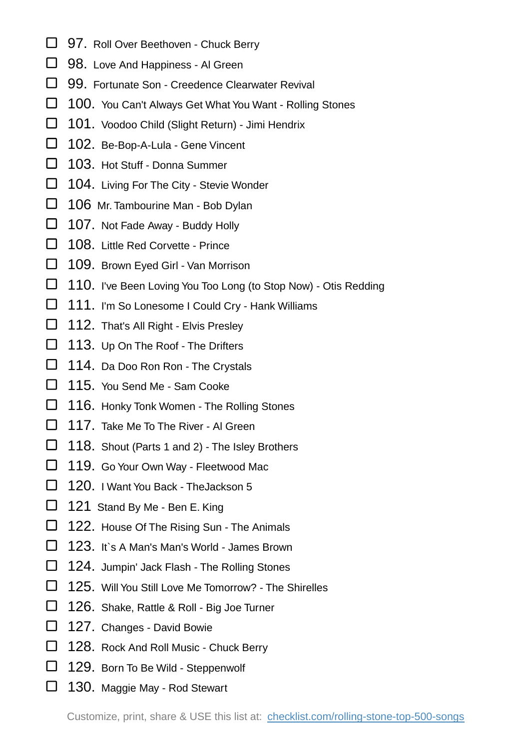- □ 97. Roll Over Beethoven Chuck Berry
- 98. Love And Happiness Al Green
- □ 99. Fortunate Son Creedence Clearwater Revival
- □ 100. You Can't Always Get What You Want Rolling Stones
- 101. Voodoo Child (Slight Return) Jimi Hendrix
- □ 102. Be-Bop-A-Lula Gene Vincent
- □ 103. Hot Stuff Donna Summer
- □ 104. Living For The City Stevie Wonder
- □ 106 Mr. Tambourine Man Bob Dylan
- □ 107. Not Fade Away Buddy Holly
- 108. Little Red Corvette Prince
- □ 109. Brown Eyed Girl Van Morrison
- $\Box$  110. I've Been Loving You Too Long (to Stop Now) Otis Redding
- □ 111. I'm So Lonesome I Could Cry Hank Williams
- □ 112. That's All Right Elvis Presley
- □ 113. Up On The Roof The Drifters
- □ 114. Da Doo Ron Ron The Crystals
- □ 115. You Send Me Sam Cooke
- □ 116. Honky Tonk Women The Rolling Stones
- □ 117. Take Me To The River Al Green
- □ 118. Shout (Parts 1 and 2) The Isley Brothers
- □ 119. Go Your Own Way Fleetwood Mac
- □ 120. I Want You Back TheJackson 5
- □ 121 Stand By Me Ben E. King
- □ 122. House Of The Rising Sun The Animals
- □ 123. It`s A Man's Man's World James Brown
- □ 124. Jumpin' Jack Flash The Rolling Stones
- 125. Will You Still Love Me Tomorrow? The Shirelles
- □ 126. Shake, Rattle & Roll Big Joe Turner
- □ 127. Changes David Bowie
- 128. Rock And Roll Music Chuck Berry
- 129. Born To Be Wild Steppenwolf
- □ 130. Maggie May Rod Stewart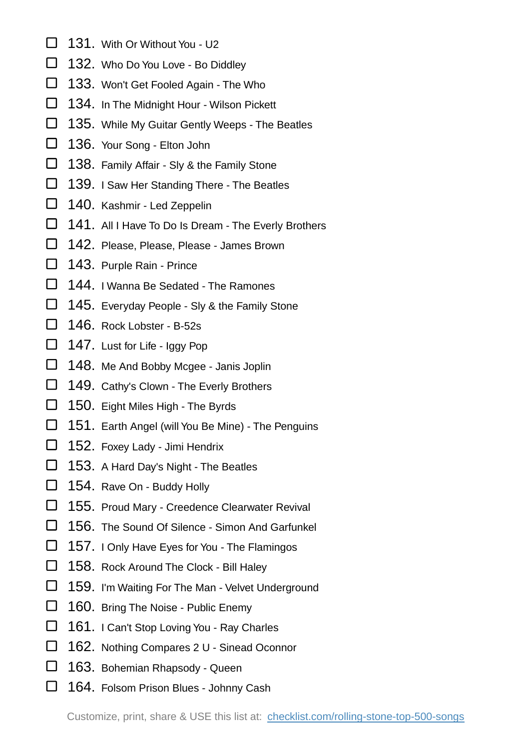- □ 131. With Or Without You U2
- 132. Who Do You Love Bo Diddley
- 133. Won't Get Fooled Again The Who
- □ 134. In The Midnight Hour Wilson Pickett
- □ 135. While My Guitar Gently Weeps The Beatles
- □ 136. Your Song Elton John
- □ 138. Family Affair Sly & the Family Stone
- □ 139. I Saw Her Standing There The Beatles
- 140. Kashmir Led Zeppelin
- □ 141. All I Have To Do Is Dream The Everly Brothers
- 142. Please, Please, Please James Brown
- □ 143. Purple Rain Prince
- □ 144. I Wanna Be Sedated The Ramones
- $\Box$  145. Everyday People Sly & the Family Stone
- □ 146. Rock Lobster B-52s
- □ 147. Lust for Life Iggy Pop
- 148. Me And Bobby Mcgee Janis Joplin
- 149. Cathy's Clown The Everly Brothers
- □ 150. Eight Miles High The Byrds
- □ 151. Earth Angel (will You Be Mine) The Penguins
- □ 152. Foxey Lady Jimi Hendrix
- □ 153. A Hard Day's Night The Beatles
- □ 154. Rave On Buddy Holly
- □ 155. Proud Mary Creedence Clearwater Revival
- □ 156. The Sound Of Silence Simon And Garfunkel
- □ 157. I Only Have Eyes for You The Flamingos
- □ 158. Rock Around The Clock Bill Haley
- □ 159. I'm Waiting For The Man Velvet Underground
- 160. Bring The Noise Public Enemy
- □ 161. I Can't Stop Loving You Ray Charles
- 162. Nothing Compares 2 U Sinead Oconnor
- 163. Bohemian Rhapsody Queen
- □ 164. Folsom Prison Blues Johnny Cash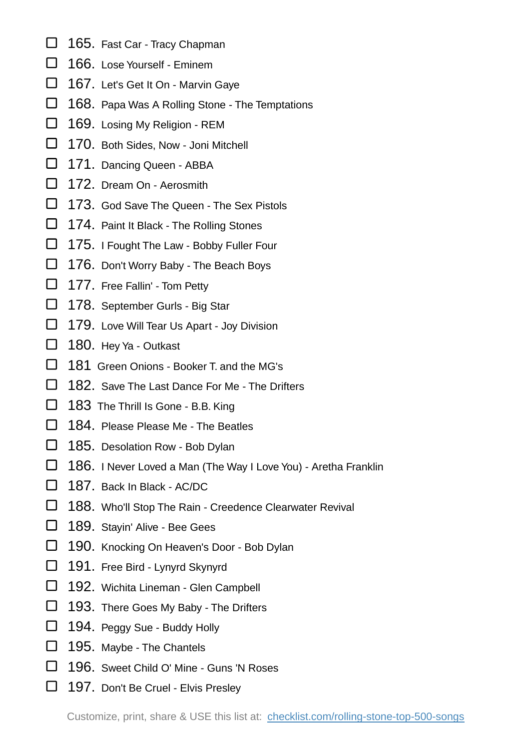- 165. Fast Car Tracy Chapman
- □ 166. Lose Yourself Eminem
- □ 167. Let's Get It On Marvin Gaye
- □ 168. Papa Was A Rolling Stone The Temptations
- 169. Losing My Religion REM
- □ 170. Both Sides, Now Joni Mitchell
- 171. Dancing Queen ABBA
- □ 172. Dream On Aerosmith
- □ 173. God Save The Queen The Sex Pistols
- □ 174. Paint It Black The Rolling Stones
- 175. I Fought The Law Bobby Fuller Four
- □ 176. Don't Worry Baby The Beach Boys
- □ 177. Free Fallin' Tom Petty
- □ 178. September Gurls Big Star
- □ 179. Love Will Tear Us Apart Joy Division
- □ 180. Hey Ya Outkast
- □ 181 Green Onions Booker T. and the MG's
- □ 182. Save The Last Dance For Me The Drifters
- 183 The Thrill Is Gone B.B. King
- $\Box$  184. Please Please Me The Beatles
- □ 185. Desolation Row Bob Dylan
- 186. I Never Loved a Man (The Way I Love You) Aretha Franklin
- □ 187. Back In Black AC/DC
- □ 188. Who'll Stop The Rain Creedence Clearwater Revival
- □ 189. Stayin' Alive Bee Gees
- □ 190. Knocking On Heaven's Door Bob Dylan
- □ 191. Free Bird Lynyrd Skynyrd
- 192. Wichita Lineman Glen Campbell
- □ 193. There Goes My Baby The Drifters
- 194. Peggy Sue Buddy Holly
- □ 195. Maybe The Chantels
- □ 196. Sweet Child O' Mine Guns 'N Roses
- □ 197. Don't Be Cruel Elvis Presley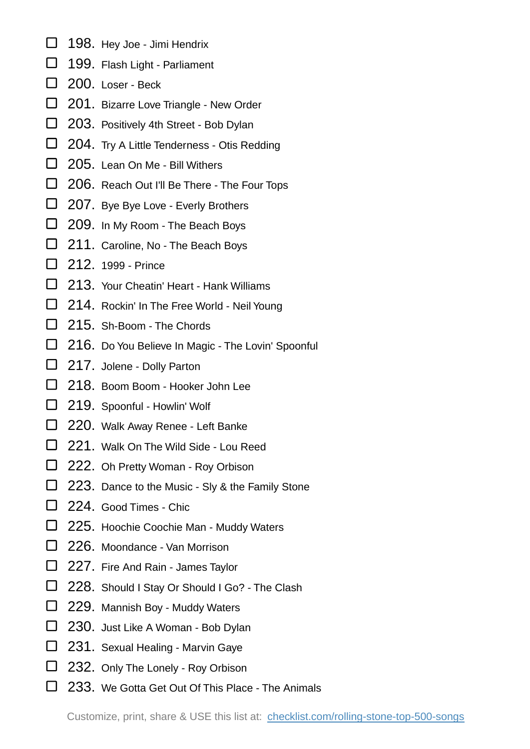- 198. Hey Joe Jimi Hendrix
- 199. Flash Light Parliament
- □ 200. Loser Beck
- 201. Bizarre Love Triangle New Order
- □ 203. Positively 4th Street Bob Dylan
- □ 204. Try A Little Tenderness Otis Redding
- □ 205. Lean On Me Bill Withers
- □ 206. Reach Out I'll Be There The Four Tops
- □ 207. Bye Bye Love Everly Brothers
- □ 209. In My Room The Beach Boys
- □ 211. Caroline, No The Beach Boys
- □ 212. 1999 Prince
- □ 213. Your Cheatin' Heart Hank Williams
- □ 214. Rockin' In The Free World Neil Young
- □ 215. Sh-Boom The Chords
- □ 216. Do You Believe In Magic The Lovin' Spoonful
- □ 217. Jolene Dolly Parton
- □ 218. Boom Boom Hooker John Lee
- 219. Spoonful Howlin' Wolf
- □ 220. Walk Away Renee Left Banke
- □ 221. Walk On The Wild Side Lou Reed
- □ 222. Oh Pretty Woman Roy Orbison
- □ 223. Dance to the Music Sly & the Family Stone
- □ 224. Good Times Chic
- □ 225. Hoochie Coochie Man Muddy Waters
- □ 226. Moondance Van Morrison
- □ 227. Fire And Rain James Taylor
- □ 228. Should I Stay Or Should I Go? The Clash
- 229. Mannish Boy Muddy Waters
- 230. Just Like A Woman Bob Dylan
- □ 231. Sexual Healing Marvin Gaye
- 232. Only The Lonely Roy Orbison
- □ 233. We Gotta Get Out Of This Place The Animals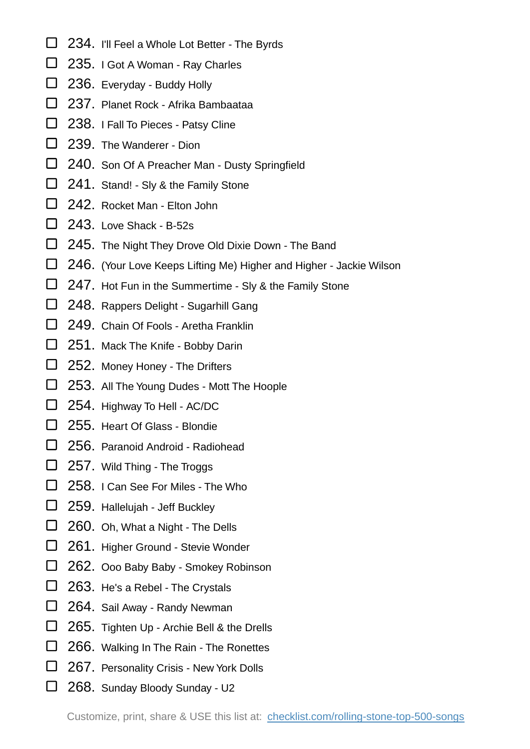- □ 234. I'll Feel a Whole Lot Better The Byrds
- □ 235. I Got A Woman Ray Charles
- □ 236. Everyday Buddy Holly
- □ 237. Planet Rock Afrika Bambaataa
- □ 238. I Fall To Pieces Patsy Cline
- □ 239. The Wanderer Dion
- □ 240. Son Of A Preacher Man Dusty Springfield
- □ 241. Stand! Sly & the Family Stone
- □ 242. Rocket Man Elton John
- $\Box$  243. Love Shack B-52s
- □ 245. The Night They Drove Old Dixie Down The Band
- □ 246. (Your Love Keeps Lifting Me) Higher and Higher Jackie Wilson
- $\Box$  247. Hot Fun in the Summertime Sly & the Family Stone
- □ 248. Rappers Delight Sugarhill Gang
- □ 249. Chain Of Fools Aretha Franklin
- □ 251. Mack The Knife Bobby Darin
- □ 252. Money Honey The Drifters
- □ 253. All The Young Dudes Mott The Hoople
- □ 254. Highway To Hell AC/DC
- □ 255. Heart Of Glass Blondie
- □ 256. Paranoid Android Radiohead
- □ 257. Wild Thing The Troggs
- □ 258. I Can See For Miles The Who
- □ 259. Hallelujah Jeff Buckley
- □ 260. Oh, What a Night The Dells
- □ 261. Higher Ground Stevie Wonder
- □ 262. Ooo Baby Baby Smokey Robinson
- 263. He's a Rebel The Crystals
- 264. Sail Away Randy Newman
- □ 265. Tighten Up Archie Bell & the Drells
- □ 266. Walking In The Rain The Ronettes
- 267. Personality Crisis New York Dolls
- 268. Sunday Bloody Sunday U2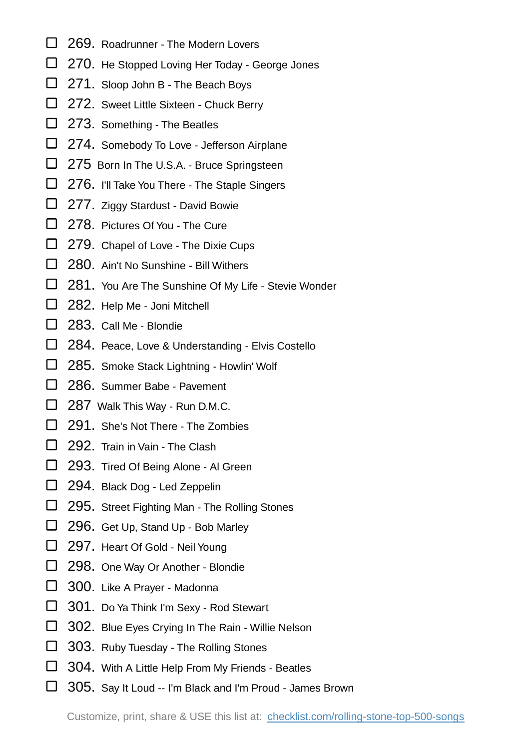- □ 269. Roadrunner The Modern Lovers
- □ 270. He Stopped Loving Her Today George Jones
- □ 271. Sloop John B The Beach Boys
- □ 272. Sweet Little Sixteen Chuck Berry
- □ 273. Something The Beatles
- □ 274. Somebody To Love Jefferson Airplane
- □ 275 Born In The U.S.A. Bruce Springsteen
- $\Box$  276. I'll Take You There The Staple Singers
- 277. Ziggy Stardust David Bowie
- □ 278. Pictures Of You The Cure
- □ 279. Chapel of Love The Dixie Cups
- □ 280. Ain't No Sunshine Bill Withers
- □ 281. You Are The Sunshine Of My Life Stevie Wonder
- □ 282. Help Me Joni Mitchell
- □ 283. Call Me Blondie
- □ 284. Peace, Love & Understanding Elvis Costello
- □ 285. Smoke Stack Lightning Howlin' Wolf
- □ 286. Summer Babe Pavement
- □ 287 Walk This Way Run D.M.C.
- □ 291. She's Not There The Zombies
- □ 292. Train in Vain The Clash
- □ 293. Tired Of Being Alone Al Green
- □ 294. Black Dog Led Zeppelin
- □ 295. Street Fighting Man The Rolling Stones
- 296. Get Up, Stand Up Bob Marley
- □ 297. Heart Of Gold Neil Young
- □ 298. One Way Or Another Blondie
- 300. Like A Prayer Madonna
- 301. Do Ya Think I'm Sexy Rod Stewart
- □ 302. Blue Eyes Crying In The Rain Willie Nelson
- □ 303. Ruby Tuesday The Rolling Stones
- □ 304. With A Little Help From My Friends Beatles
- □ 305. Say It Loud -- I'm Black and I'm Proud James Brown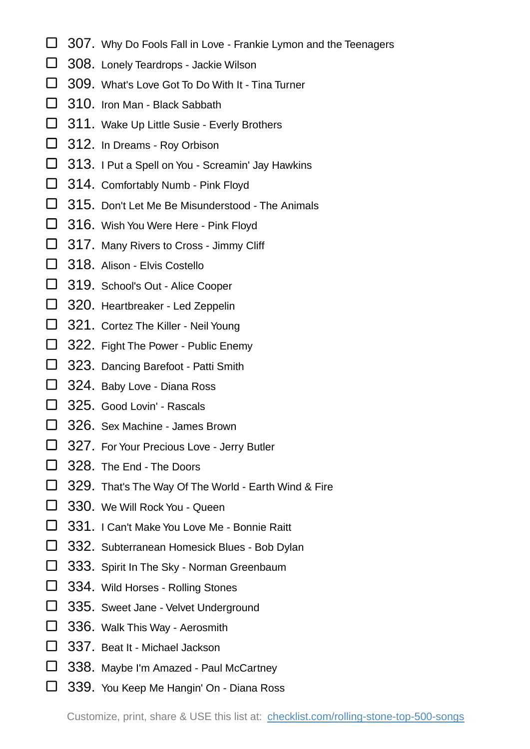- □ 307. Why Do Fools Fall in Love Frankie Lymon and the Teenagers
- □ 308. Lonely Teardrops Jackie Wilson
- □ 309. What's Love Got To Do With It Tina Turner
- □ 310. Iron Man Black Sabbath
- □ 311. Wake Up Little Susie Everly Brothers
- □ 312. In Dreams Roy Orbison
- □ 313. I Put a Spell on You Screamin' Jay Hawkins
- 314. Comfortably Numb Pink Floyd
- □ 315. Don't Let Me Be Misunderstood The Animals
- □ 316. Wish You Were Here Pink Floyd
- 317. Many Rivers to Cross Jimmy Cliff
- □ 318. Alison Elvis Costello
- 319. School's Out Alice Cooper
- 320. Heartbreaker Led Zeppelin
- 321. Cortez The Killer Neil Young
- □ 322. Fight The Power Public Enemy
- □ 323. Dancing Barefoot Patti Smith
- □ 324. Baby Love Diana Ross
- □ 325. Good Lovin' Rascals
- □ 326. Sex Machine James Brown
- □ 327. For Your Precious Love Jerry Butler
- □ 328. The End The Doors
- □ 329. That's The Way Of The World Earth Wind & Fire
- □ 330. We Will Rock You Queen
- □ 331. I Can't Make You Love Me Bonnie Raitt
- □ 332. Subterranean Homesick Blues Bob Dylan
- □ 333. Spirit In The Sky Norman Greenbaum
- 334. Wild Horses Rolling Stones
- 335. Sweet Jane Velvet Underground
- □ 336. Walk This Way Aerosmith
- □ 337. Beat It Michael Jackson
- □ 338. Maybe I'm Amazed Paul McCartney
- □ 339. You Keep Me Hangin' On Diana Ross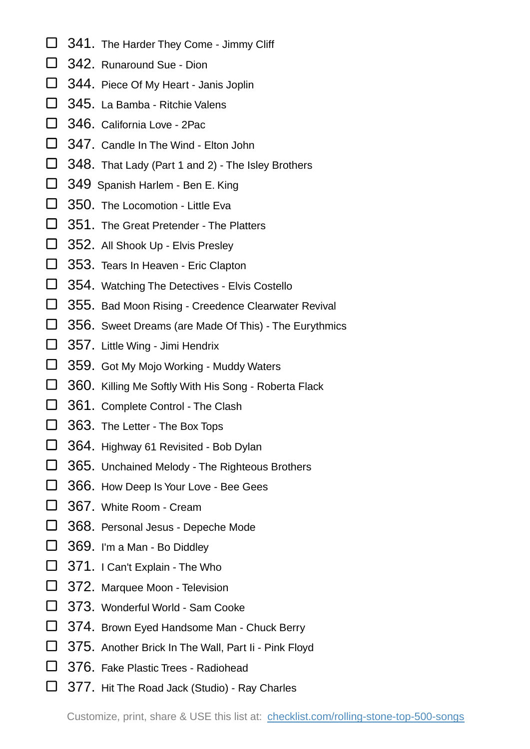- □ 341. The Harder They Come Jimmy Cliff
- □ 342. Runaround Sue Dion
- 344. Piece Of My Heart Janis Joplin
- □ 345. La Bamba Ritchie Valens
- □ 346. California Love 2Pac.
- □ 347. Candle In The Wind Elton John
- □ 348. That Lady (Part 1 and 2) The Isley Brothers
- 349 Spanish Harlem Ben E. King
- □ 350. The Locomotion Little Eva
- □ 351. The Great Pretender The Platters
- 352. All Shook Up Elvis Presley
- □ 353. Tears In Heaven Eric Clapton
- □ 354. Watching The Detectives Elvis Costello
- □ 355. Bad Moon Rising Creedence Clearwater Revival
- 356. Sweet Dreams (are Made Of This) The Eurythmics
- 357. Little Wing Jimi Hendrix
- □ 359. Got My Mojo Working Muddy Waters
- □ 360. Killing Me Softly With His Song Roberta Flack
- □ 361. Complete Control The Clash
- □ 363. The Letter The Box Tops
- □ 364. Highway 61 Revisited Bob Dylan
- 365. Unchained Melody The Righteous Brothers
- 366. How Deep Is Your Love Bee Gees
- □ 367. White Room Cream
- □ 368. Personal Jesus Depeche Mode
- □ 369. I'm a Man Bo Diddley
- □ 371. I Can't Explain The Who
- □ 372. Marquee Moon Television
- 373. Wonderful World Sam Cooke
- □ 374. Brown Eyed Handsome Man Chuck Berry
- 375. Another Brick In The Wall, Part Ii Pink Floyd
- □ 376. Fake Plastic Trees Radiohead
- □ 377. Hit The Road Jack (Studio) Ray Charles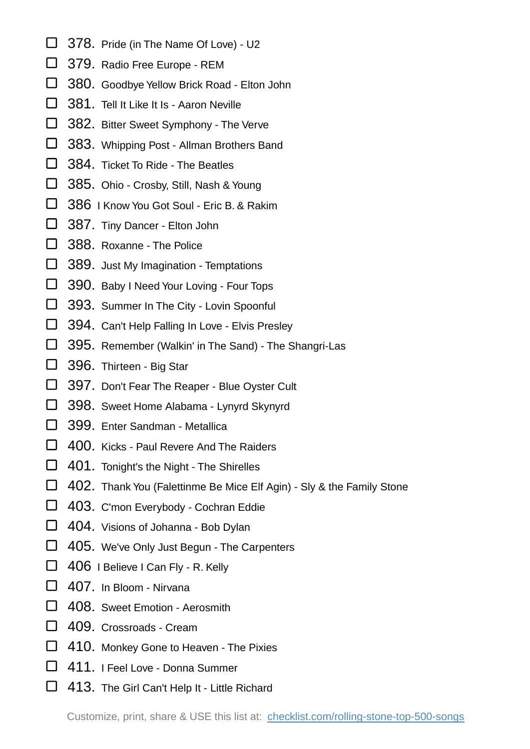- □ 378. Pride (in The Name Of Love) U2
- □ 379. Radio Free Europe REM
- □ 380. Goodbye Yellow Brick Road Elton John
- □ 381. Tell It Like It Is Aaron Neville
- 382. Bitter Sweet Symphony The Verve
- 383. Whipping Post Allman Brothers Band
- □ 384. Ticket To Ride The Beatles
- 385. Ohio Crosby, Still, Nash & Young
- □ 386 I Know You Got Soul Eric B. & Rakim
- 387. Tiny Dancer Elton John
- □ 388. Roxanne The Police
- □ 389. Just My Imagination Temptations
- □ 390. Baby I Need Your Loving Four Tops
- □ 393. Summer In The City Lovin Spoonful
- □ 394. Can't Help Falling In Love Elvis Presley
- 395. Remember (Walkin' in The Sand) The Shangri-Las
- □ 396. Thirteen Big Star
- □ 397. Don't Fear The Reaper Blue Oyster Cult
- □ 398. Sweet Home Alabama Lynyrd Skynyrd
- □ 399. Enter Sandman Metallica
- □ 400. Kicks Paul Revere And The Raiders
- □ 401. Tonight's the Night The Shirelles
- □ 402. Thank You (Falettinme Be Mice Elf Agin) Sly & the Family Stone
- 403. C'mon Everybody Cochran Eddie
- □ 404. Visions of Johanna Bob Dylan
- □ 405. We've Only Just Begun The Carpenters
- □ 406 I Believe I Can Fly R. Kelly
- □ 407. In Bloom Nirvana
- □ 408. Sweet Emotion Aerosmith
- □ 409. Crossroads Cream
- □ 410. Monkey Gone to Heaven The Pixies
- □ 411. I Feel Love Donna Summer
- □ 413. The Girl Can't Help It Little Richard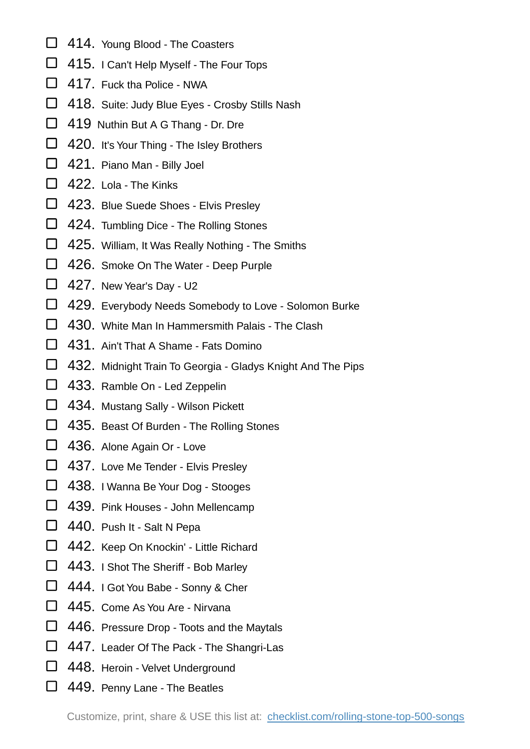- □ 414. Young Blood The Coasters
- □ 415. I Can't Help Myself The Four Tops
- □ 417. Fuck tha Police NWA
- □ 418. Suite: Judy Blue Eyes Crosby Stills Nash
- □ 419 Nuthin But A G Thang Dr. Dre
- □ 420. It's Your Thing The Isley Brothers
- 421. Piano Man Billy Joel
- □ 422. Lola The Kinks
- 423. Blue Suede Shoes Elvis Presley
- 424. Tumbling Dice The Rolling Stones
- □ 425. William, It Was Really Nothing The Smiths
- □ 426. Smoke On The Water Deep Purple
- $\Box$  427. New Year's Day U2
- □ 429. Everybody Needs Somebody to Love Solomon Burke
- □ 430. White Man In Hammersmith Palais The Clash
- □ 431. Ain't That A Shame Fats Domino
- 432. Midnight Train To Georgia Gladys Knight And The Pips
- □ 433. Ramble On Led Zeppelin
- □ 434. Mustang Sally Wilson Pickett
- □ 435. Beast Of Burden The Rolling Stones
- 436. Alone Again Or Love
- □ 437. Love Me Tender Elvis Presley
- □ 438. I Wanna Be Your Dog Stooges
- 439. Pink Houses John Mellencamp
- 440. Push It Salt N Pepa
- □ 442. Keep On Knockin' Little Richard
- □ 443. I Shot The Sheriff Bob Marley
- 444. I Got You Babe Sonny & Cher
- □ 445. Come As You Are Nirvana
- □ 446. Pressure Drop Toots and the Maytals
- □ 447. Leader Of The Pack The Shangri-Las
- □ 448. Heroin Velvet Underground
- □ 449. Penny Lane The Beatles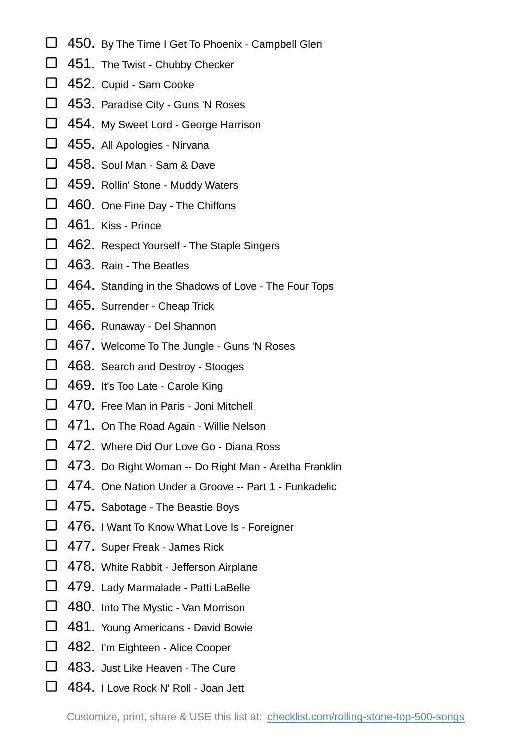- $\Box$  450. By The Time I Get To Phoenix Campbell Glen
- □ 451. The Twist Chubby Checker
- □ 452. Cupid Sam Cooke
- 453. Paradise City Guns 'N Roses
- □ 454. My Sweet Lord George Harrison
- 455. All Apologies Nirvana
- □ 458. Soul Man Sam & Dave
- 459. Rollin' Stone Muddy Waters
- □ 460. One Fine Day The Chiffons
- □ 461. Kiss Prince
- □ 462. Respect Yourself The Staple Singers
- □ 463. Rain The Beatles
- $\Box$  464. Standing in the Shadows of Love The Four Tops
- □ 465. Surrender Cheap Trick
- 466. Runaway Del Shannon
- □ 467. Welcome To The Jungle Guns 'N Roses
- □ 468. Search and Destroy Stooges
- □ 469. It's Too Late Carole King
- □ 470. Free Man in Paris Joni Mitchell
- □ 471. On The Road Again Willie Nelson
- □ 472. Where Did Our Love Go Diana Ross
- □ 473. Do Right Woman -- Do Right Man Aretha Franklin
- □ 474. One Nation Under a Groove -- Part 1 Funkadelic
- □ 475. Sabotage The Beastie Boys
- □ 476. I Want To Know What Love Is Foreigner
- □ 477. Super Freak James Rick
- □ 478. White Rabbit Jefferson Airplane
- 479. Lady Marmalade Patti LaBelle
- □ 480. Into The Mystic Van Morrison
- 481. Young Americans David Bowie
- □ 482. I'm Eighteen Alice Cooper
- □ 483. Just Like Heaven The Cure
- □ 484. I Love Rock N' Roll Joan Jett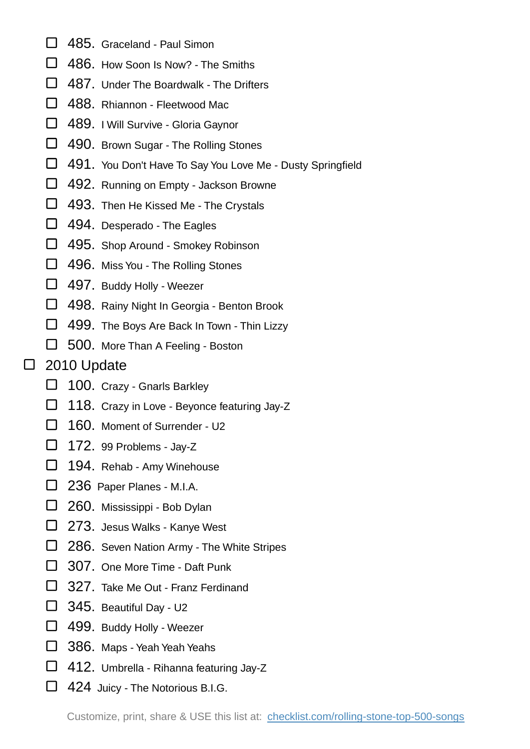- □ 485. Graceland Paul Simon
- □ 486. How Soon Is Now? The Smiths
- □ 487. Under The Boardwalk The Drifters
- □ 488. Rhiannon Fleetwood Mac
- 489. I Will Survive Gloria Gaynor
- □ 490. Brown Sugar The Rolling Stones
- 491. You Don't Have To Say You Love Me Dusty Springfield
- 492. Running on Empty Jackson Browne
- □ 493. Then He Kissed Me The Crystals
- □ 494. Desperado The Eagles
- □ 495. Shop Around Smokey Robinson
- □ 496. Miss You The Rolling Stones
- □ 497. Buddy Holly Weezer
- □ 498. Rainy Night In Georgia Benton Brook
- □ 499. The Boys Are Back In Town Thin Lizzy
- 500. More Than A Feeling Boston

## □ 2010 Update

- □ 100. Crazy Gnarls Barkley
- $\Box$  118. Crazy in Love Beyonce featuring Jay-Z
- □ 160. Moment of Surrender U2
- $\Box$  172. 99 Problems Jay-Z
- □ 194. Rehab Amy Winehouse
- □ 236 Paper Planes M.I.A.
- 260. Mississippi Bob Dylan
- 273. Jesus Walks Kanye West
- □ 286. Seven Nation Army The White Stripes
- □ 307. One More Time Daft Punk
- □ 327. Take Me Out Franz Ferdinand
- 345. Beautiful Day U2
- 499. Buddy Holly Weezer
- □ 386. Maps Yeah Yeah Yeahs
- □ 412. Umbrella Rihanna featuring Jay-Z
- □ 424 Juicy The Notorious B.I.G.